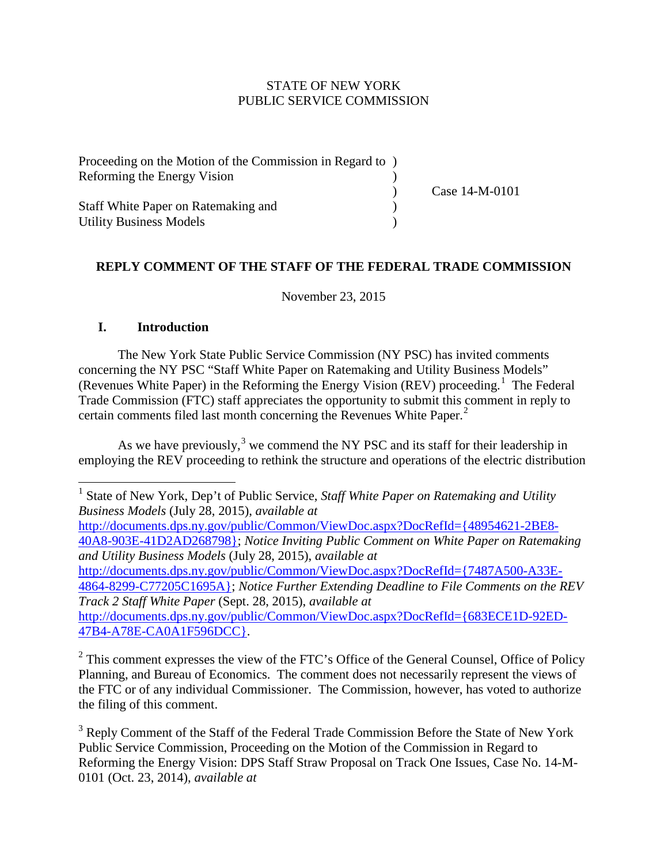# STATE OF NEW YORK PUBLIC SERVICE COMMISSION

| Proceeding on the Motion of the Commission in Regard to |                |
|---------------------------------------------------------|----------------|
| Reforming the Energy Vision                             |                |
|                                                         | Case 14-M-0101 |
| <b>Staff White Paper on Ratemaking and</b>              |                |
| <b>Utility Business Models</b>                          |                |

### **REPLY COMMENT OF THE STAFF OF THE FEDERAL TRADE COMMISSION**

November 23, 2015

### **I. Introduction**

The New York State Public Service Commission (NY PSC) has invited comments concerning the NY PSC "Staff White Paper on Ratemaking and Utility Business Models" (Revenues White Paper) in the Reforming the Energy Vision (REV) proceeding.<sup>[1](#page-0-0)</sup> The Federal Trade Commission (FTC) staff appreciates the opportunity to submit this comment in reply to certain comments filed last month concerning the Revenues White Paper. [2](#page-0-1)

As we have previously,  $3$  we commend the NY PSC and its staff for their leadership in employing the REV proceeding to rethink the structure and operations of the electric distribution

[http://documents.dps.ny.gov/public/Common/ViewDoc.aspx?DocRefId={48954621-2BE8-](http://documents.dps.ny.gov/public/Common/ViewDoc.aspx?DocRefId=%7b48954621-2BE8-40A8-903E-41D2AD268798%7d) [40A8-903E-41D2AD268798};](http://documents.dps.ny.gov/public/Common/ViewDoc.aspx?DocRefId=%7b48954621-2BE8-40A8-903E-41D2AD268798%7d) *Notice Inviting Public Comment on White Paper on Ratemaking and Utility Business Models* (July 28, 2015), *available at* [http://documents.dps.ny.gov/public/Common/ViewDoc.aspx?DocRefId={7487A500-A33E-](http://documents.dps.ny.gov/public/Common/ViewDoc.aspx?DocRefId=%7b7487A500-A33E-4864-8299-C77205C1695A%7d)[4864-8299-C77205C1695A};](http://documents.dps.ny.gov/public/Common/ViewDoc.aspx?DocRefId=%7b7487A500-A33E-4864-8299-C77205C1695A%7d) *Notice Further Extending Deadline to File Comments on the REV Track 2 Staff White Paper* (Sept. 28, 2015), *available at* [http://documents.dps.ny.gov/public/Common/ViewDoc.aspx?DocRefId={683ECE1D-92ED-](http://documents.dps.ny.gov/public/Common/ViewDoc.aspx?DocRefId=%7b683ECE1D-92ED-47B4-A78E-CA0A1F596DCC%7d)[47B4-A78E-CA0A1F596DCC}.](http://documents.dps.ny.gov/public/Common/ViewDoc.aspx?DocRefId=%7b683ECE1D-92ED-47B4-A78E-CA0A1F596DCC%7d)

<span id="page-0-1"></span><sup>2</sup> This comment expresses the view of the FTC's Office of the General Counsel, Office of Policy Planning, and Bureau of Economics. The comment does not necessarily represent the views of the FTC or of any individual Commissioner. The Commission, however, has voted to authorize the filing of this comment.

<span id="page-0-2"></span><sup>3</sup> Reply Comment of the Staff of the Federal Trade Commission Before the State of New York Public Service Commission, Proceeding on the Motion of the Commission in Regard to Reforming the Energy Vision: DPS Staff Straw Proposal on Track One Issues, Case No. 14-M-0101 (Oct. 23, 2014), *available at*

<span id="page-0-0"></span><sup>1</sup> State of New York, Dep't of Public Service, *Staff White Paper on Ratemaking and Utility Business Models* (July 28, 2015), *available at*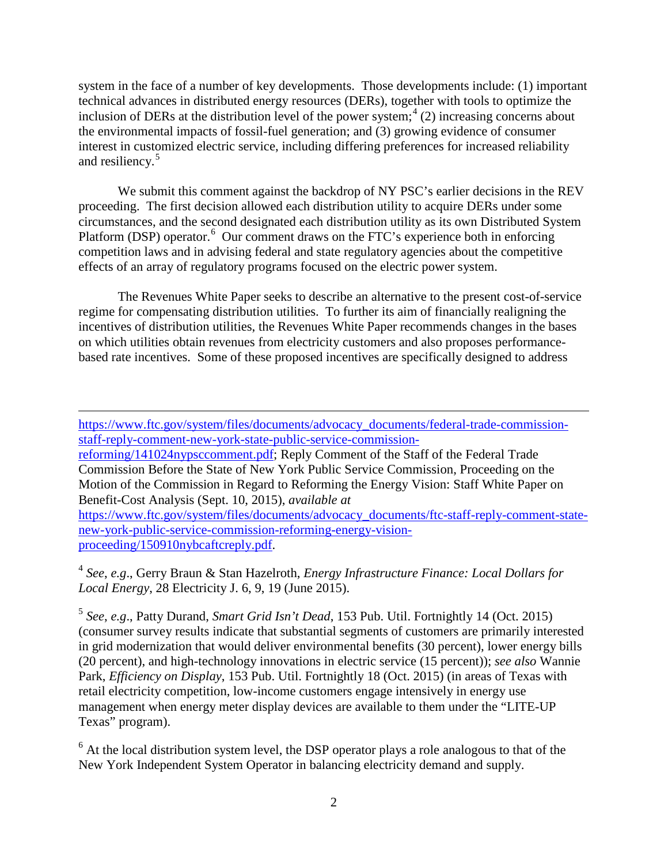system in the face of a number of key developments. Those developments include: (1) important technical advances in distributed energy resources (DERs), together with tools to optimize the inclusion of DERs at the distribution level of the power system; [4](#page-1-0) (2) increasing concerns about the environmental impacts of fossil-fuel generation; and (3) growing evidence of consumer interest in customized electric service, including differing preferences for increased reliability and resiliency. [5](#page-1-1)

We submit this comment against the backdrop of NY PSC's earlier decisions in the REV proceeding. The first decision allowed each distribution utility to acquire DERs under some circumstances, and the second designated each distribution utility as its own Distributed System Platform (DSP) operator.<sup>[6](#page-1-2)</sup> Our comment draws on the FTC's experience both in enforcing competition laws and in advising federal and state regulatory agencies about the competitive effects of an array of regulatory programs focused on the electric power system.

The Revenues White Paper seeks to describe an alternative to the present cost-of-service regime for compensating distribution utilities. To further its aim of financially realigning the incentives of distribution utilities, the Revenues White Paper recommends changes in the bases on which utilities obtain revenues from electricity customers and also proposes performancebased rate incentives. Some of these proposed incentives are specifically designed to address

[https://www.ftc.gov/system/files/documents/advocacy\\_documents/federal-trade-commission](https://www.ftc.gov/system/files/documents/advocacy_documents/federal-trade-commission-staff-reply-comment-new-york-state-public-service-commission-reforming/141024nypsccomment.pdf)[staff-reply-comment-new-york-state-public-service-commission-](https://www.ftc.gov/system/files/documents/advocacy_documents/federal-trade-commission-staff-reply-comment-new-york-state-public-service-commission-reforming/141024nypsccomment.pdf)

 $\overline{\phantom{a}}$ 

[reforming/141024nypsccomment.pdf;](https://www.ftc.gov/system/files/documents/advocacy_documents/federal-trade-commission-staff-reply-comment-new-york-state-public-service-commission-reforming/141024nypsccomment.pdf) Reply Comment of the Staff of the Federal Trade Commission Before the State of New York Public Service Commission, Proceeding on the Motion of the Commission in Regard to Reforming the Energy Vision: Staff White Paper on Benefit-Cost Analysis (Sept. 10, 2015), *available at* 

[https://www.ftc.gov/system/files/documents/advocacy\\_documents/ftc-staff-reply-comment-state](https://www.ftc.gov/system/files/documents/advocacy_documents/ftc-staff-reply-comment-state-new-york-public-service-commission-reforming-energy-vision-proceeding/150910nybcaftcreply.pdf)[new-york-public-service-commission-reforming-energy-vision](https://www.ftc.gov/system/files/documents/advocacy_documents/ftc-staff-reply-comment-state-new-york-public-service-commission-reforming-energy-vision-proceeding/150910nybcaftcreply.pdf)[proceeding/150910nybcaftcreply.pdf.](https://www.ftc.gov/system/files/documents/advocacy_documents/ftc-staff-reply-comment-state-new-york-public-service-commission-reforming-energy-vision-proceeding/150910nybcaftcreply.pdf)

<span id="page-1-0"></span><sup>4</sup> *See*, *e.g*., Gerry Braun & Stan Hazelroth, *Energy Infrastructure Finance: Local Dollars for Local Energy*, 28 Electricity J. 6, 9, 19 (June 2015).

<span id="page-1-1"></span><sup>5</sup> *See*, *e.g*., Patty Durand, *Smart Grid Isn't Dead*, 153 Pub. Util. Fortnightly 14 (Oct. 2015) (consumer survey results indicate that substantial segments of customers are primarily interested in grid modernization that would deliver environmental benefits (30 percent), lower energy bills (20 percent), and high-technology innovations in electric service (15 percent)); *see also* Wannie Park, *Efficiency on Display*, 153 Pub. Util. Fortnightly 18 (Oct. 2015) (in areas of Texas with retail electricity competition, low-income customers engage intensively in energy use management when energy meter display devices are available to them under the "LITE-UP Texas" program).

<span id="page-1-2"></span><sup>6</sup> At the local distribution system level, the DSP operator plays a role analogous to that of the New York Independent System Operator in balancing electricity demand and supply.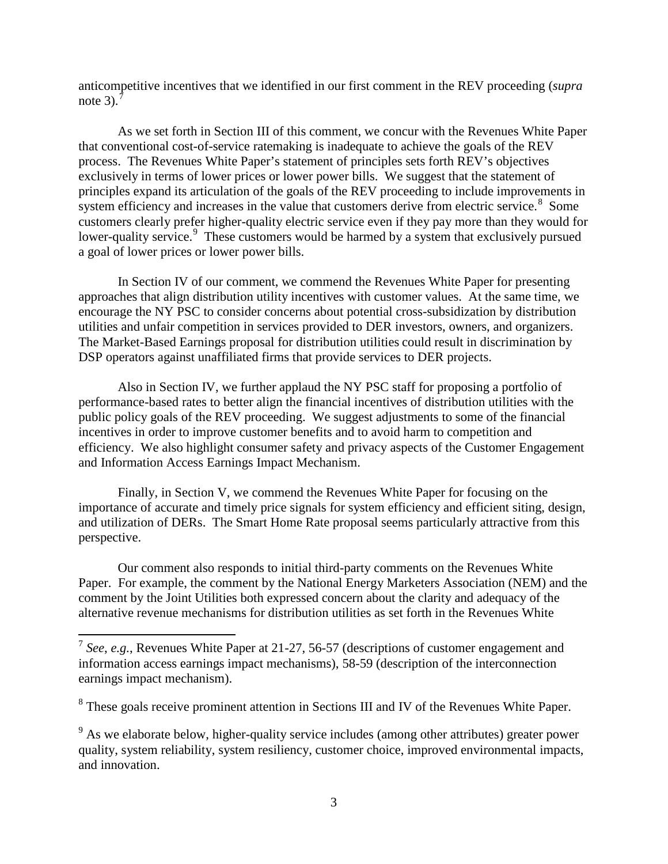anticompetitive incentives that we identified in our first comment in the REV proceeding (*supra* note 3).<sup> $7$ </sup>

As we set forth in Section III of this comment, we concur with the Revenues White Paper that conventional cost-of-service ratemaking is inadequate to achieve the goals of the REV process. The Revenues White Paper's statement of principles sets forth REV's objectives exclusively in terms of lower prices or lower power bills. We suggest that the statement of principles expand its articulation of the goals of the REV proceeding to include improvements in system efficiency and increases in the value that customers derive from electric service.<sup>[8](#page-2-1)</sup> Some customers clearly prefer higher-quality electric service even if they pay more than they would for lower-quality service.<sup>[9](#page-2-2)</sup> These customers would be harmed by a system that exclusively pursued a goal of lower prices or lower power bills.

In Section IV of our comment, we commend the Revenues White Paper for presenting approaches that align distribution utility incentives with customer values. At the same time, we encourage the NY PSC to consider concerns about potential cross-subsidization by distribution utilities and unfair competition in services provided to DER investors, owners, and organizers. The Market-Based Earnings proposal for distribution utilities could result in discrimination by DSP operators against unaffiliated firms that provide services to DER projects.

Also in Section IV, we further applaud the NY PSC staff for proposing a portfolio of performance-based rates to better align the financial incentives of distribution utilities with the public policy goals of the REV proceeding. We suggest adjustments to some of the financial incentives in order to improve customer benefits and to avoid harm to competition and efficiency. We also highlight consumer safety and privacy aspects of the Customer Engagement and Information Access Earnings Impact Mechanism.

Finally, in Section V, we commend the Revenues White Paper for focusing on the importance of accurate and timely price signals for system efficiency and efficient siting, design, and utilization of DERs. The Smart Home Rate proposal seems particularly attractive from this perspective.

Our comment also responds to initial third-party comments on the Revenues White Paper. For example, the comment by the National Energy Marketers Association (NEM) and the comment by the Joint Utilities both expressed concern about the clarity and adequacy of the alternative revenue mechanisms for distribution utilities as set forth in the Revenues White

<span id="page-2-0"></span><sup>7</sup> *See*, *e.g.*, Revenues White Paper at 21-27, 56-57 (descriptions of customer engagement and information access earnings impact mechanisms), 58-59 (description of the interconnection earnings impact mechanism).

<span id="page-2-1"></span><sup>&</sup>lt;sup>8</sup> These goals receive prominent attention in Sections III and IV of the Revenues White Paper.

<span id="page-2-2"></span><sup>&</sup>lt;sup>9</sup> As we elaborate below, higher-quality service includes (among other attributes) greater power quality, system reliability, system resiliency, customer choice, improved environmental impacts, and innovation.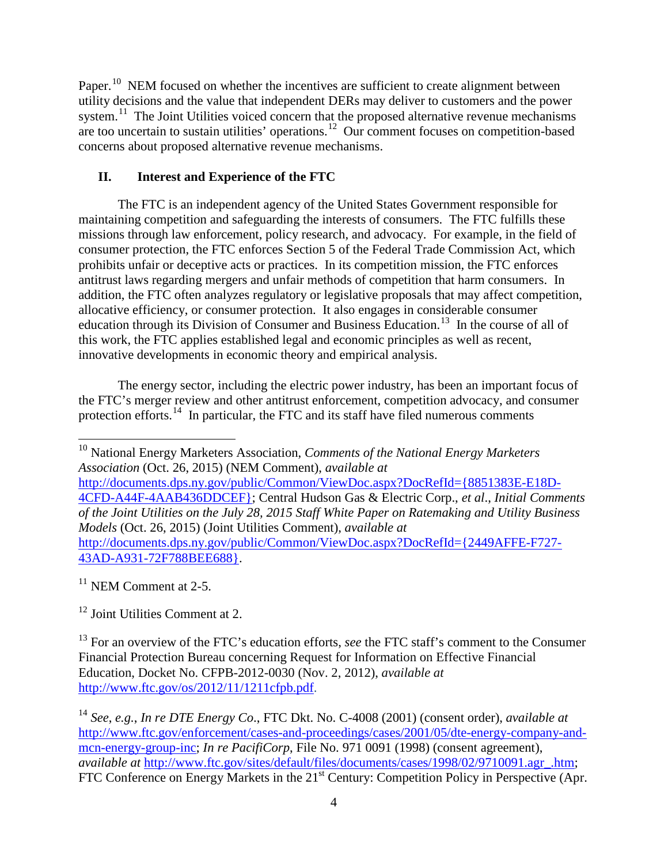Paper.<sup>[10](#page-3-0)</sup> NEM focused on whether the incentives are sufficient to create alignment between utility decisions and the value that independent DERs may deliver to customers and the power system.<sup>[11](#page-3-1)</sup> The Joint Utilities voiced concern that the proposed alternative revenue mechanisms are too uncertain to sustain utilities' operations.<sup>[12](#page-3-2)</sup> Our comment focuses on competition-based concerns about proposed alternative revenue mechanisms.

# **II. Interest and Experience of the FTC**

The FTC is an independent agency of the United States Government responsible for maintaining competition and safeguarding the interests of consumers. The FTC fulfills these missions through law enforcement, policy research, and advocacy. For example, in the field of consumer protection, the FTC enforces Section 5 of the Federal Trade Commission Act, which prohibits unfair or deceptive acts or practices. In its competition mission, the FTC enforces antitrust laws regarding mergers and unfair methods of competition that harm consumers. In addition, the FTC often analyzes regulatory or legislative proposals that may affect competition, allocative efficiency, or consumer protection. It also engages in considerable consumer education through its Division of Consumer and Business Education.<sup>[13](#page-3-3)</sup> In the course of all of this work, the FTC applies established legal and economic principles as well as recent, innovative developments in economic theory and empirical analysis.

The energy sector, including the electric power industry, has been an important focus of the FTC's merger review and other antitrust enforcement, competition advocacy, and consumer protection efforts.<sup>14</sup> In particular, the FTC and its staff have filed numerous comments

[http://documents.dps.ny.gov/public/Common/ViewDoc.aspx?DocRefId={8851383E-E18D-](http://documents.dps.ny.gov/public/Common/ViewDoc.aspx?DocRefId=%7b8851383E-E18D-4CFD-A44F-4AAB436DDCEF%7d)[4CFD-A44F-4AAB436DDCEF};](http://documents.dps.ny.gov/public/Common/ViewDoc.aspx?DocRefId=%7b8851383E-E18D-4CFD-A44F-4AAB436DDCEF%7d) Central Hudson Gas & Electric Corp., *et al*., *Initial Comments of the Joint Utilities on the July 28, 2015 Staff White Paper on Ratemaking and Utility Business Models* (Oct. 26, 2015) (Joint Utilities Comment), *available at* [http://documents.dps.ny.gov/public/Common/ViewDoc.aspx?DocRefId={2449AFFE-F727-](http://documents.dps.ny.gov/public/Common/ViewDoc.aspx?DocRefId=%7b2449AFFE-F727-43AD-A931-72F788BEE688%7d) [43AD-A931-72F788BEE688}.](http://documents.dps.ny.gov/public/Common/ViewDoc.aspx?DocRefId=%7b2449AFFE-F727-43AD-A931-72F788BEE688%7d)

<span id="page-3-1"></span> $11$  NEM Comment at 2-5.

<span id="page-3-2"></span> $12$  Joint Utilities Comment at 2.

<span id="page-3-3"></span><sup>13</sup> For an overview of the FTC's education efforts, *see* the FTC staff's comment to the Consumer Financial Protection Bureau concerning Request for Information on Effective Financial Education, Docket No. CFPB-2012-0030 (Nov. 2, 2012), *available at*  [http://www.ftc.gov/os/2012/11/1211cfpb.pdf.](http://www.ftc.gov/os/2012/11/1211cfpb.pdf)

<span id="page-3-0"></span><sup>10</sup> National Energy Marketers Association, *Comments of the National Energy Marketers Association* (Oct. 26, 2015) (NEM Comment), *available at*

<span id="page-3-4"></span><sup>14</sup> *See*, *e.g.*, *In re DTE Energy Co*., FTC Dkt. No. C-4008 (2001) (consent order), *available at* [http://www.ftc.gov/enforcement/cases-and-proceedings/cases/2001/05/dte-energy-company-and](http://www.ftc.gov/enforcement/cases-and-proceedings/cases/2001/05/dte-energy-company-and-mcn-energy-group-inc)[mcn-energy-group-inc;](http://www.ftc.gov/enforcement/cases-and-proceedings/cases/2001/05/dte-energy-company-and-mcn-energy-group-inc) *In re PacifiCorp*, File No. 971 0091 (1998) (consent agreement), *available at http://www.ftc.gov/sites/default/files/documents/cases/1998/02/9710091.agr.htm;* FTC Conference on Energy Markets in the 21<sup>st</sup> Century: Competition Policy in Perspective (Apr.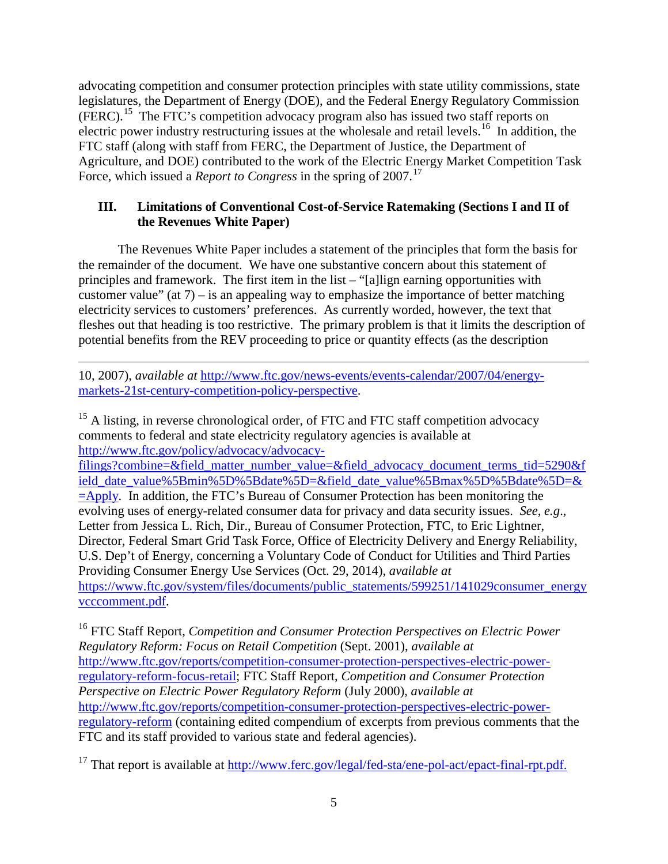advocating competition and consumer protection principles with state utility commissions, state legislatures, the Department of Energy (DOE), and the Federal Energy Regulatory Commission (FERC). [15](#page-4-0) The FTC's competition advocacy program also has issued two staff reports on electric power industry restructuring issues at the wholesale and retail levels.<sup>16</sup> In addition, the FTC staff (along with staff from FERC, the Department of Justice, the Department of Agriculture, and DOE) contributed to the work of the Electric Energy Market Competition Task Force, which issued a *Report to Congress* in the spring of 2007.<sup>[17](#page-4-2)</sup>

# **III. Limitations of Conventional Cost-of-Service Ratemaking (Sections I and II of the Revenues White Paper)**

The Revenues White Paper includes a statement of the principles that form the basis for the remainder of the document. We have one substantive concern about this statement of principles and framework. The first item in the list – "[a]lign earning opportunities with customer value" (at  $7$ ) – is an appealing way to emphasize the importance of better matching electricity services to customers' preferences. As currently worded, however, the text that fleshes out that heading is too restrictive. The primary problem is that it limits the description of potential benefits from the REV proceeding to price or quantity effects (as the description

10, 2007), *available at* [http://www.ftc.gov/news-events/events-calendar/2007/04/energy](http://www.ftc.gov/news-events/events-calendar/2007/04/energy-markets-21st-century-competition-policy-perspective)[markets-21st-century-competition-policy-perspective.](http://www.ftc.gov/news-events/events-calendar/2007/04/energy-markets-21st-century-competition-policy-perspective)

 $\overline{\phantom{a}}$ 

<span id="page-4-0"></span><sup>15</sup> A listing, in reverse chronological order, of FTC and FTC staff competition advocacy comments to federal and state electricity regulatory agencies is available at [http://www.ftc.gov/policy/advocacy/advocacy-](http://www.ftc.gov/policy/advocacy/advocacy-filings?combine=&field_matter_number_value=&field_advocacy_document_terms_tid=5290&field_date_value%5Bmin%5D%5Bdate%5D=&field_date_value%5Bmax%5D%5Bdate%5D=&=Apply)

[filings?combine=&field\\_matter\\_number\\_value=&field\\_advocacy\\_document\\_terms\\_tid=5290&f](http://www.ftc.gov/policy/advocacy/advocacy-filings?combine=&field_matter_number_value=&field_advocacy_document_terms_tid=5290&field_date_value%5Bmin%5D%5Bdate%5D=&field_date_value%5Bmax%5D%5Bdate%5D=&=Apply) [ield\\_date\\_value%5Bmin%5D%5Bdate%5D=&field\\_date\\_value%5Bmax%5D%5Bdate%5D=&](http://www.ftc.gov/policy/advocacy/advocacy-filings?combine=&field_matter_number_value=&field_advocacy_document_terms_tid=5290&field_date_value%5Bmin%5D%5Bdate%5D=&field_date_value%5Bmax%5D%5Bdate%5D=&=Apply)  $=\text{Apply}$ . In addition, the FTC's Bureau of Consumer Protection has been monitoring the evolving uses of energy-related consumer data for privacy and data security issues. *See*, *e.g*., Letter from Jessica L. Rich, Dir., Bureau of Consumer Protection, FTC, to Eric Lightner, Director, Federal Smart Grid Task Force, Office of Electricity Delivery and Energy Reliability, U.S. Dep't of Energy, concerning a Voluntary Code of Conduct for Utilities and Third Parties Providing Consumer Energy Use Services (Oct. 29, 2014), *available at* [https://www.ftc.gov/system/files/documents/public\\_statements/599251/141029consumer\\_energy](https://www.ftc.gov/system/files/documents/public_statements/599251/141029consumer_energyvcccomment.pdf) [vcccomment.pdf.](https://www.ftc.gov/system/files/documents/public_statements/599251/141029consumer_energyvcccomment.pdf)

<span id="page-4-1"></span><sup>16</sup> FTC Staff Report, *Competition and Consumer Protection Perspectives on Electric Power Regulatory Reform: Focus on Retail Competition* (Sept. 2001), *available at* [http://www.ftc.gov/reports/competition-consumer-protection-perspectives-electric-power](http://www.ftc.gov/reports/competition-consumer-protection-perspectives-electric-power-regulatory-reform-focus-retail)[regulatory-reform-focus-retail;](http://www.ftc.gov/reports/competition-consumer-protection-perspectives-electric-power-regulatory-reform-focus-retail) FTC Staff Report, *Competition and Consumer Protection Perspective on Electric Power Regulatory Reform* (July 2000), *available at*  [http://www.ftc.gov/reports/competition-consumer-protection-perspectives-electric-power](http://www.ftc.gov/reports/competition-consumer-protection-perspectives-electric-power-regulatory-reform)[regulatory-reform](http://www.ftc.gov/reports/competition-consumer-protection-perspectives-electric-power-regulatory-reform) (containing edited compendium of excerpts from previous comments that the FTC and its staff provided to various state and federal agencies).

<span id="page-4-2"></span><sup>17</sup> That report is available at [http://www.ferc.gov/legal/fed-sta/ene-pol-act/epact-final-rpt.pdf.](http://www.ferc.gov/legal/fed-sta/ene-pol-act/epact-final-rpt.pdf)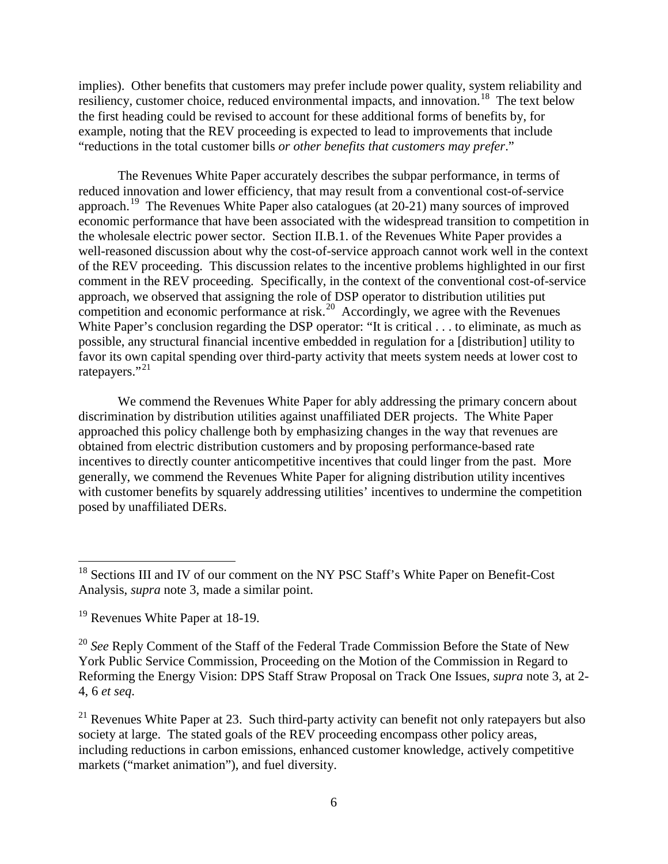implies). Other benefits that customers may prefer include power quality, system reliability and resiliency, customer choice, reduced environmental impacts, and innovation.<sup>18</sup> The text below the first heading could be revised to account for these additional forms of benefits by, for example, noting that the REV proceeding is expected to lead to improvements that include "reductions in the total customer bills *or other benefits that customers may prefer*."

The Revenues White Paper accurately describes the subpar performance, in terms of reduced innovation and lower efficiency, that may result from a conventional cost-of-service approach.<sup>[19](#page-5-1)</sup> The Revenues White Paper also catalogues (at 20-21) many sources of improved economic performance that have been associated with the widespread transition to competition in the wholesale electric power sector. Section II.B.1. of the Revenues White Paper provides a well-reasoned discussion about why the cost-of-service approach cannot work well in the context of the REV proceeding. This discussion relates to the incentive problems highlighted in our first comment in the REV proceeding. Specifically, in the context of the conventional cost-of-service approach, we observed that assigning the role of DSP operator to distribution utilities put competition and economic performance at risk.<sup>[20](#page-5-2)</sup> Accordingly, we agree with the Revenues White Paper's conclusion regarding the DSP operator: "It is critical . . . to eliminate, as much as possible, any structural financial incentive embedded in regulation for a [distribution] utility to favor its own capital spending over third-party activity that meets system needs at lower cost to ratepayers."<sup>[21](#page-5-3)</sup>

We commend the Revenues White Paper for ably addressing the primary concern about discrimination by distribution utilities against unaffiliated DER projects. The White Paper approached this policy challenge both by emphasizing changes in the way that revenues are obtained from electric distribution customers and by proposing performance-based rate incentives to directly counter anticompetitive incentives that could linger from the past. More generally, we commend the Revenues White Paper for aligning distribution utility incentives with customer benefits by squarely addressing utilities' incentives to undermine the competition posed by unaffiliated DERs.

<span id="page-5-0"></span><sup>&</sup>lt;sup>18</sup> Sections III and IV of our comment on the NY PSC Staff's White Paper on Benefit-Cost Analysis, *supra* note 3, made a similar point.

<span id="page-5-1"></span><sup>&</sup>lt;sup>19</sup> Revenues White Paper at 18-19.

<span id="page-5-2"></span><sup>&</sup>lt;sup>20</sup> See Reply Comment of the Staff of the Federal Trade Commission Before the State of New York Public Service Commission, Proceeding on the Motion of the Commission in Regard to Reforming the Energy Vision: DPS Staff Straw Proposal on Track One Issues, *supra* note 3, at 2- 4, 6 *et seq*.

<span id="page-5-3"></span><sup>&</sup>lt;sup>21</sup> Revenues White Paper at 23. Such third-party activity can benefit not only ratepayers but also society at large. The stated goals of the REV proceeding encompass other policy areas, including reductions in carbon emissions, enhanced customer knowledge, actively competitive markets ("market animation"), and fuel diversity.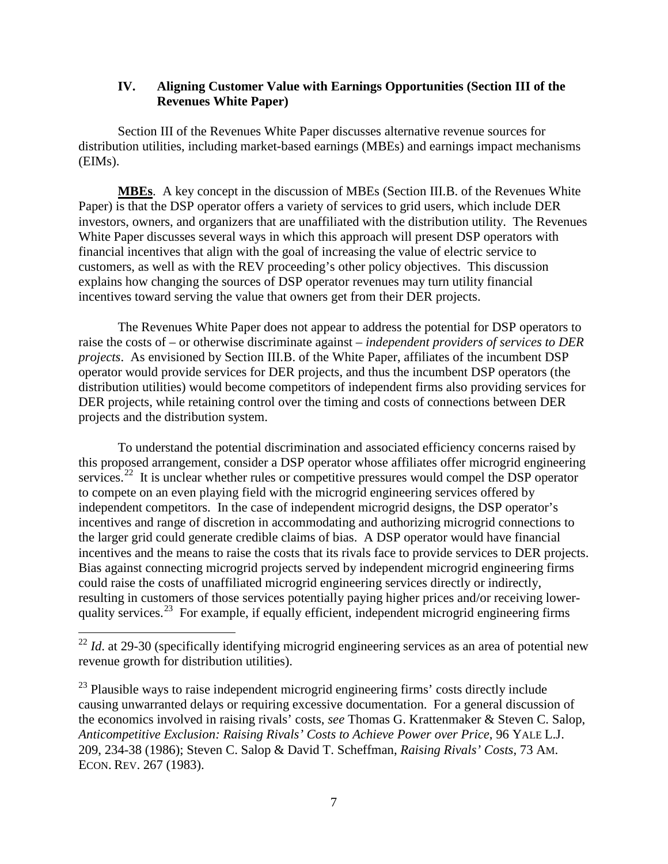#### **IV. Aligning Customer Value with Earnings Opportunities (Section III of the Revenues White Paper)**

Section III of the Revenues White Paper discusses alternative revenue sources for distribution utilities, including market-based earnings (MBEs) and earnings impact mechanisms (EIMs).

**MBEs**. A key concept in the discussion of MBEs (Section III.B. of the Revenues White Paper) is that the DSP operator offers a variety of services to grid users, which include DER investors, owners, and organizers that are unaffiliated with the distribution utility. The Revenues White Paper discusses several ways in which this approach will present DSP operators with financial incentives that align with the goal of increasing the value of electric service to customers, as well as with the REV proceeding's other policy objectives. This discussion explains how changing the sources of DSP operator revenues may turn utility financial incentives toward serving the value that owners get from their DER projects.

The Revenues White Paper does not appear to address the potential for DSP operators to raise the costs of – or otherwise discriminate against – *independent providers of services to DER projects*.As envisioned by Section III.B. of the White Paper, affiliates of the incumbent DSP operator would provide services for DER projects, and thus the incumbent DSP operators (the distribution utilities) would become competitors of independent firms also providing services for DER projects, while retaining control over the timing and costs of connections between DER projects and the distribution system.

To understand the potential discrimination and associated efficiency concerns raised by this proposed arrangement, consider a DSP operator whose affiliates offer microgrid engineering services.<sup>[22](#page-6-0)</sup> It is unclear whether rules or competitive pressures would compel the DSP operator to compete on an even playing field with the microgrid engineering services offered by independent competitors. In the case of independent microgrid designs, the DSP operator's incentives and range of discretion in accommodating and authorizing microgrid connections to the larger grid could generate credible claims of bias. A DSP operator would have financial incentives and the means to raise the costs that its rivals face to provide services to DER projects. Bias against connecting microgrid projects served by independent microgrid engineering firms could raise the costs of unaffiliated microgrid engineering services directly or indirectly, resulting in customers of those services potentially paying higher prices and/or receiving lower-quality services.<sup>[23](#page-6-1)</sup> For example, if equally efficient, independent microgrid engineering firms

<span id="page-6-0"></span><sup>&</sup>lt;sup>22</sup> *Id.* at 29-30 (specifically identifying microgrid engineering services as an area of potential new revenue growth for distribution utilities).

<span id="page-6-1"></span><sup>&</sup>lt;sup>23</sup> Plausible ways to raise independent microgrid engineering firms' costs directly include causing unwarranted delays or requiring excessive documentation. For a general discussion of the economics involved in raising rivals' costs, *see* Thomas G. Krattenmaker & Steven C. Salop, *Anticompetitive Exclusion: Raising Rivals' Costs to Achieve Power over Price*, 96 YALE L.J. 209, 234-38 (1986); Steven C. Salop & David T. Scheffman, *Raising Rivals' Costs*, 73 AM. ECON. REV. 267 (1983).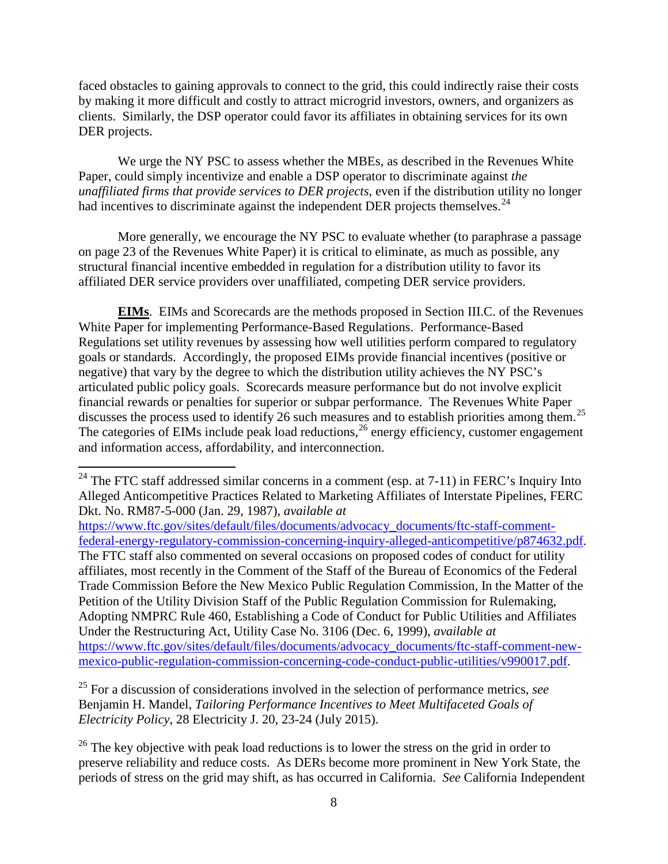faced obstacles to gaining approvals to connect to the grid, this could indirectly raise their costs by making it more difficult and costly to attract microgrid investors, owners, and organizers as clients. Similarly, the DSP operator could favor its affiliates in obtaining services for its own DER projects.

We urge the NY PSC to assess whether the MBEs, as described in the Revenues White Paper, could simply incentivize and enable a DSP operator to discriminate against *the unaffiliated firms that provide services to DER projects*, even if the distribution utility no longer had incentives to discriminate against the independent DER projects themselves. $24$ 

More generally, we encourage the NY PSC to evaluate whether (to paraphrase a passage on page 23 of the Revenues White Paper) it is critical to eliminate, as much as possible, any structural financial incentive embedded in regulation for a distribution utility to favor its affiliated DER service providers over unaffiliated, competing DER service providers.

**EIMs**. EIMs and Scorecards are the methods proposed in Section III.C. of the Revenues White Paper for implementing Performance-Based Regulations. Performance-Based Regulations set utility revenues by assessing how well utilities perform compared to regulatory goals or standards. Accordingly, the proposed EIMs provide financial incentives (positive or negative) that vary by the degree to which the distribution utility achieves the NY PSC's articulated public policy goals. Scorecards measure performance but do not involve explicit financial rewards or penalties for superior or subpar performance. The Revenues White Paper discusses the process used to identify 26 such measures and to establish priorities among them.<sup>[25](#page-7-1)</sup> The categories of EIMs include peak load reductions,  $^{26}$  $^{26}$  $^{26}$  energy efficiency, customer engagement and information access, affordability, and interconnection.

[https://www.ftc.gov/sites/default/files/documents/advocacy\\_documents/ftc-staff-comment](https://www.ftc.gov/sites/default/files/documents/advocacy_documents/ftc-staff-comment-federal-energy-regulatory-commission-concerning-inquiry-alleged-anticompetitive/p874632.pdf)[federal-energy-regulatory-commission-concerning-inquiry-alleged-anticompetitive/p874632.pdf.](https://www.ftc.gov/sites/default/files/documents/advocacy_documents/ftc-staff-comment-federal-energy-regulatory-commission-concerning-inquiry-alleged-anticompetitive/p874632.pdf) The FTC staff also commented on several occasions on proposed codes of conduct for utility affiliates, most recently in the Comment of the Staff of the Bureau of Economics of the Federal Trade Commission Before the New Mexico Public Regulation Commission, In the Matter of the Petition of the Utility Division Staff of the Public Regulation Commission for Rulemaking, Adopting NMPRC Rule 460, Establishing a Code of Conduct for Public Utilities and Affiliates Under the Restructuring Act, Utility Case No. 3106 (Dec. 6, 1999), *available at*  [https://www.ftc.gov/sites/default/files/documents/advocacy\\_documents/ftc-staff-comment-new](https://www.ftc.gov/sites/default/files/documents/advocacy_documents/ftc-staff-comment-new-mexico-public-regulation-commission-concerning-code-conduct-public-utilities/v990017.pdf)[mexico-public-regulation-commission-concerning-code-conduct-public-utilities/v990017.pdf.](https://www.ftc.gov/sites/default/files/documents/advocacy_documents/ftc-staff-comment-new-mexico-public-regulation-commission-concerning-code-conduct-public-utilities/v990017.pdf)

<span id="page-7-1"></span><sup>25</sup> For a discussion of considerations involved in the selection of performance metrics, *see* Benjamin H. Mandel, *Tailoring Performance Incentives to Meet Multifaceted Goals of Electricity Policy*, 28 Electricity J. 20, 23-24 (July 2015).

<span id="page-7-2"></span> $^{26}$  The key objective with peak load reductions is to lower the stress on the grid in order to preserve reliability and reduce costs. As DERs become more prominent in New York State, the periods of stress on the grid may shift, as has occurred in California. *See* California Independent

<span id="page-7-0"></span> $24$  The FTC staff addressed similar concerns in a comment (esp. at 7-11) in FERC's Inquiry Into Alleged Anticompetitive Practices Related to Marketing Affiliates of Interstate Pipelines, FERC Dkt. No. RM87-5-000 (Jan. 29, 1987), *available at*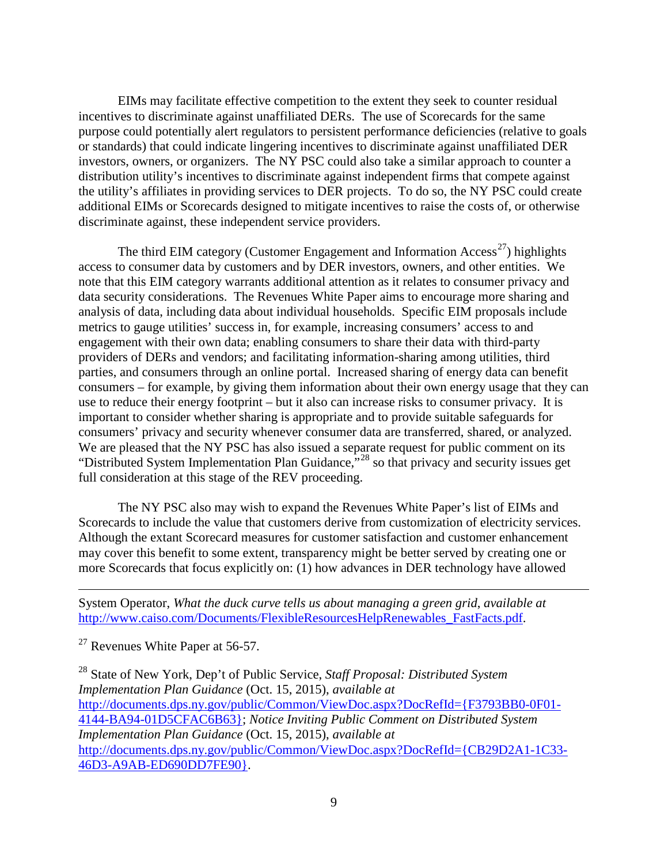EIMs may facilitate effective competition to the extent they seek to counter residual incentives to discriminate against unaffiliated DERs. The use of Scorecards for the same purpose could potentially alert regulators to persistent performance deficiencies (relative to goals or standards) that could indicate lingering incentives to discriminate against unaffiliated DER investors, owners, or organizers. The NY PSC could also take a similar approach to counter a distribution utility's incentives to discriminate against independent firms that compete against the utility's affiliates in providing services to DER projects. To do so, the NY PSC could create additional EIMs or Scorecards designed to mitigate incentives to raise the costs of, or otherwise discriminate against, these independent service providers.

The third EIM category (Customer Engagement and Information Access<sup>27</sup>) highlights access to consumer data by customers and by DER investors, owners, and other entities. We note that this EIM category warrants additional attention as it relates to consumer privacy and data security considerations. The Revenues White Paper aims to encourage more sharing and analysis of data, including data about individual households. Specific EIM proposals include metrics to gauge utilities' success in, for example, increasing consumers' access to and engagement with their own data; enabling consumers to share their data with third-party providers of DERs and vendors; and facilitating information-sharing among utilities, third parties, and consumers through an online portal. Increased sharing of energy data can benefit consumers – for example, by giving them information about their own energy usage that they can use to reduce their energy footprint – but it also can increase risks to consumer privacy. It is important to consider whether sharing is appropriate and to provide suitable safeguards for consumers' privacy and security whenever consumer data are transferred, shared, or analyzed. We are pleased that the NY PSC has also issued a separate request for public comment on its "Distributed System Implementation Plan Guidance,"[28](#page-8-1) so that privacy and security issues get full consideration at this stage of the REV proceeding.

The NY PSC also may wish to expand the Revenues White Paper's list of EIMs and Scorecards to include the value that customers derive from customization of electricity services. Although the extant Scorecard measures for customer satisfaction and customer enhancement may cover this benefit to some extent, transparency might be better served by creating one or more Scorecards that focus explicitly on: (1) how advances in DER technology have allowed

System Operator, *What the duck curve tells us about managing a green grid*, *available at* [http://www.caiso.com/Documents/FlexibleResourcesHelpRenewables\\_FastFacts.pdf.](http://www.caiso.com/Documents/FlexibleResourcesHelpRenewables_FastFacts.pdf)

<span id="page-8-0"></span><sup>27</sup> Revenues White Paper at 56-57.

 $\overline{\phantom{a}}$ 

<span id="page-8-1"></span><sup>28</sup> State of New York, Dep't of Public Service, *Staff Proposal: Distributed System Implementation Plan Guidance* (Oct. 15, 2015), *available at* [http://documents.dps.ny.gov/public/Common/ViewDoc.aspx?DocRefId={F3793BB0-0F01-](http://documents.dps.ny.gov/public/Common/ViewDoc.aspx?DocRefId=%7bF3793BB0-0F01-4144-BA94-01D5CFAC6B63%7d) [4144-BA94-01D5CFAC6B63};](http://documents.dps.ny.gov/public/Common/ViewDoc.aspx?DocRefId=%7bF3793BB0-0F01-4144-BA94-01D5CFAC6B63%7d) *Notice Inviting Public Comment on Distributed System Implementation Plan Guidance* (Oct. 15, 2015), *available at* [http://documents.dps.ny.gov/public/Common/ViewDoc.aspx?DocRefId={CB29D2A1-1C33-](http://documents.dps.ny.gov/public/Common/ViewDoc.aspx?DocRefId=%7bCB29D2A1-1C33-46D3-A9AB-ED690DD7FE90%7d) [46D3-A9AB-ED690DD7FE90}.](http://documents.dps.ny.gov/public/Common/ViewDoc.aspx?DocRefId=%7bCB29D2A1-1C33-46D3-A9AB-ED690DD7FE90%7d)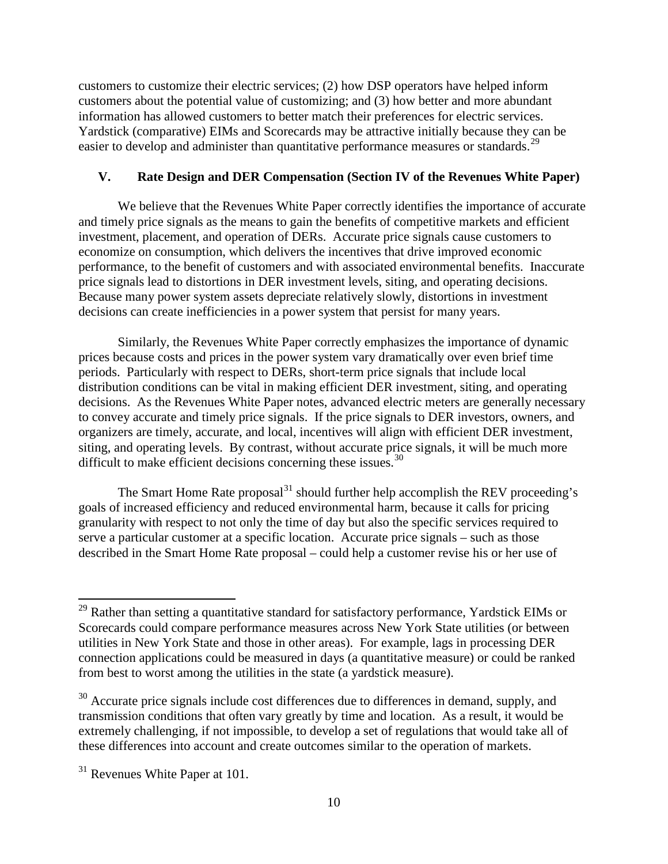customers to customize their electric services; (2) how DSP operators have helped inform customers about the potential value of customizing; and (3) how better and more abundant information has allowed customers to better match their preferences for electric services. Yardstick (comparative) EIMs and Scorecards may be attractive initially because they can be easier to develop and administer than quantitative performance measures or standards.<sup>[29](#page-9-0)</sup>

### **V. Rate Design and DER Compensation (Section IV of the Revenues White Paper)**

We believe that the Revenues White Paper correctly identifies the importance of accurate and timely price signals as the means to gain the benefits of competitive markets and efficient investment, placement, and operation of DERs. Accurate price signals cause customers to economize on consumption, which delivers the incentives that drive improved economic performance, to the benefit of customers and with associated environmental benefits. Inaccurate price signals lead to distortions in DER investment levels, siting, and operating decisions. Because many power system assets depreciate relatively slowly, distortions in investment decisions can create inefficiencies in a power system that persist for many years.

Similarly, the Revenues White Paper correctly emphasizes the importance of dynamic prices because costs and prices in the power system vary dramatically over even brief time periods. Particularly with respect to DERs, short-term price signals that include local distribution conditions can be vital in making efficient DER investment, siting, and operating decisions. As the Revenues White Paper notes, advanced electric meters are generally necessary to convey accurate and timely price signals. If the price signals to DER investors, owners, and organizers are timely, accurate, and local, incentives will align with efficient DER investment, siting, and operating levels. By contrast, without accurate price signals, it will be much more difficult to make efficient decisions concerning these issues.<sup>[30](#page-9-1)</sup>

The Smart Home Rate proposal<sup>[31](#page-9-2)</sup> should further help accomplish the REV proceeding's goals of increased efficiency and reduced environmental harm, because it calls for pricing granularity with respect to not only the time of day but also the specific services required to serve a particular customer at a specific location. Accurate price signals – such as those described in the Smart Home Rate proposal – could help a customer revise his or her use of

<span id="page-9-0"></span> $^{29}$  Rather than setting a quantitative standard for satisfactory performance, Yardstick EIMs or Scorecards could compare performance measures across New York State utilities (or between utilities in New York State and those in other areas). For example, lags in processing DER connection applications could be measured in days (a quantitative measure) or could be ranked from best to worst among the utilities in the state (a yardstick measure).

<span id="page-9-1"></span> $30$  Accurate price signals include cost differences due to differences in demand, supply, and transmission conditions that often vary greatly by time and location. As a result, it would be extremely challenging, if not impossible, to develop a set of regulations that would take all of these differences into account and create outcomes similar to the operation of markets.

<span id="page-9-2"></span> $31$  Revenues White Paper at 101.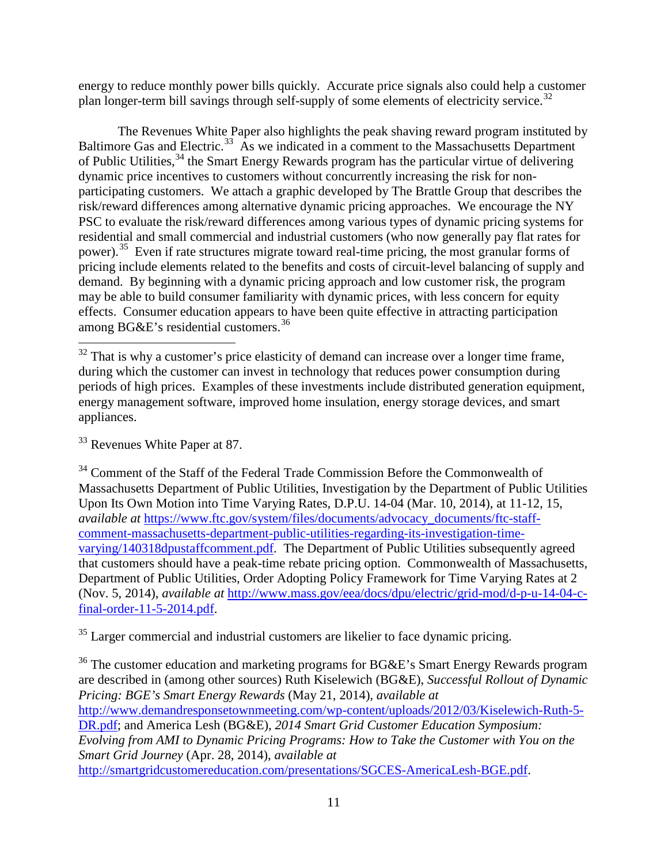energy to reduce monthly power bills quickly. Accurate price signals also could help a customer plan longer-term bill savings through self-supply of some elements of electricity service.<sup>[32](#page-10-0)</sup>

The Revenues White Paper also highlights the peak shaving reward program instituted by Baltimore Gas and Electric.<sup>[33](#page-10-1)</sup> As we indicated in a comment to the Massachusetts Department of Public Utilities,<sup>[34](#page-10-2)</sup> the Smart Energy Rewards program has the particular virtue of delivering dynamic price incentives to customers without concurrently increasing the risk for nonparticipating customers. We attach a graphic developed by The Brattle Group that describes the risk/reward differences among alternative dynamic pricing approaches. We encourage the NY PSC to evaluate the risk/reward differences among various types of dynamic pricing systems for residential and small commercial and industrial customers (who now generally pay flat rates for power).<sup>35</sup> Even if rate structures migrate toward real-time pricing, the most granular forms of pricing include elements related to the benefits and costs of circuit-level balancing of supply and demand. By beginning with a dynamic pricing approach and low customer risk, the program may be able to build consumer familiarity with dynamic prices, with less concern for equity effects. Consumer education appears to have been quite effective in attracting participation among  $B G \& E$ 's residential customers.<sup>[36](#page-10-4)</sup>

<span id="page-10-1"></span><sup>33</sup> Revenues White Paper at 87.

<span id="page-10-3"></span><sup>35</sup> Larger commercial and industrial customers are likelier to face dynamic pricing.

<span id="page-10-4"></span><sup>36</sup> The customer education and marketing programs for BG&E's Smart Energy Rewards program are described in (among other sources) Ruth Kiselewich (BG&E), *Successful Rollout of Dynamic Pricing: BGE's Smart Energy Rewards* (May 21, 2014), *available at* [http://www.demandresponsetownmeeting.com/wp-content/uploads/2012/03/Kiselewich-Ruth-5-](http://www.demandresponsetownmeeting.com/wp-content/uploads/2012/03/Kiselewich-Ruth-5-DR.pdf) [DR.pdf;](http://www.demandresponsetownmeeting.com/wp-content/uploads/2012/03/Kiselewich-Ruth-5-DR.pdf) and America Lesh (BG&E), *2014 Smart Grid Customer Education Symposium: Evolving from AMI to Dynamic Pricing Programs: How to Take the Customer with You on the Smart Grid Journey* (Apr. 28, 2014), *available at* [http://smartgridcustomereducation.com/presentations/SGCES-AmericaLesh-BGE.pdf.](http://smartgridcustomereducation.com/presentations/SGCES-AmericaLesh-BGE.pdf)

<span id="page-10-0"></span> $32$  That is why a customer's price elasticity of demand can increase over a longer time frame, during which the customer can invest in technology that reduces power consumption during periods of high prices. Examples of these investments include distributed generation equipment, energy management software, improved home insulation, energy storage devices, and smart appliances.

<span id="page-10-2"></span><sup>&</sup>lt;sup>34</sup> Comment of the Staff of the Federal Trade Commission Before the Commonwealth of Massachusetts Department of Public Utilities, Investigation by the Department of Public Utilities Upon Its Own Motion into Time Varying Rates, D.P.U. 14-04 (Mar. 10, 2014), at 11-12, 15, *available at* [https://www.ftc.gov/system/files/documents/advocacy\\_documents/ftc-staff](https://www.ftc.gov/system/files/documents/advocacy_documents/ftc-staff-comment-massachusetts-department-public-utilities-regarding-its-investigation-time-varying/140318dpustaffcomment.pdf)[comment-massachusetts-department-public-utilities-regarding-its-investigation-time](https://www.ftc.gov/system/files/documents/advocacy_documents/ftc-staff-comment-massachusetts-department-public-utilities-regarding-its-investigation-time-varying/140318dpustaffcomment.pdf)[varying/140318dpustaffcomment.pdf.](https://www.ftc.gov/system/files/documents/advocacy_documents/ftc-staff-comment-massachusetts-department-public-utilities-regarding-its-investigation-time-varying/140318dpustaffcomment.pdf) The Department of Public Utilities subsequently agreed that customers should have a peak-time rebate pricing option. Commonwealth of Massachusetts, Department of Public Utilities, Order Adopting Policy Framework for Time Varying Rates at 2 (Nov. 5, 2014), *available at* [http://www.mass.gov/eea/docs/dpu/electric/grid-mod/d-p-u-14-04-c](http://www.mass.gov/eea/docs/dpu/electric/grid-mod/d-p-u-14-04-c-final-order-11-5-2014.pdf)[final-order-11-5-2014.pdf.](http://www.mass.gov/eea/docs/dpu/electric/grid-mod/d-p-u-14-04-c-final-order-11-5-2014.pdf)